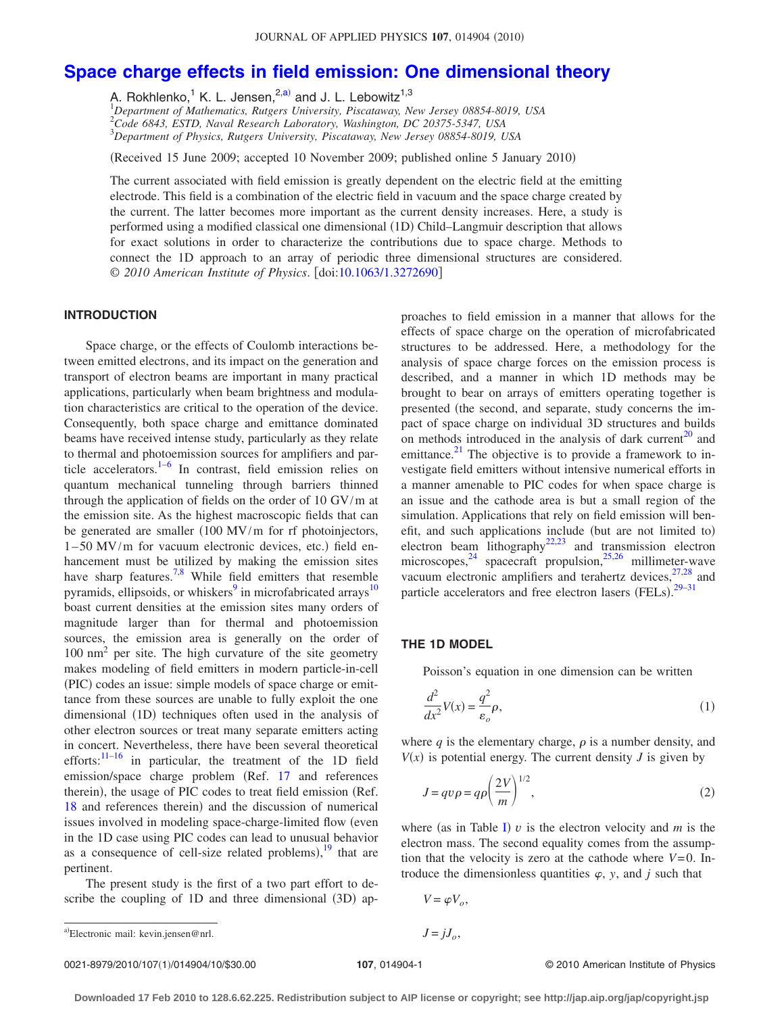# **[Space charge effects in field emission: One dimensional theory](http://dx.doi.org/10.1063/1.3272690)**

A. Rokhlenko,<sup>1</sup> K. L. Jensen,<sup>2,a)</sup> and J. L. Lebowitz<sup>1,3</sup>

1 *Department of Mathematics, Rutgers University, Piscataway, New Jersey 08854-8019, USA* 2 *Code 6843, ESTD, Naval Research Laboratory, Washington, DC 20375-5347, USA* 3 *Department of Physics, Rutgers University, Piscataway, New Jersey 08854-8019, USA*

(Received 15 June 2009; accepted 10 November 2009; published online 5 January 2010)

The current associated with field emission is greatly dependent on the electric field at the emitting electrode. This field is a combination of the electric field in vacuum and the space charge created by the current. The latter becomes more important as the current density increases. Here, a study is performed using a modified classical one dimensional (1D) Child-Langmuir description that allows for exact solutions in order to characterize the contributions due to space charge. Methods to connect the 1D approach to an array of periodic three dimensional structures are considered. © *2010 American Institute of Physics*. doi[:10.1063/1.3272690](http://dx.doi.org/10.1063/1.3272690)

#### **INTRODUCTION**

Space charge, or the effects of Coulomb interactions between emitted electrons, and its impact on the generation and transport of electron beams are important in many practical applications, particularly when beam brightness and modulation characteristics are critical to the operation of the device. Consequently, both space charge and emittance dominated beams have received intense study, particularly as they relate to thermal and photoemission sources for amplifiers and par-ticle accelerators.<sup>1–[6](#page-8-1)</sup> In contrast, field emission relies on quantum mechanical tunneling through barriers thinned through the application of fields on the order of 10 GV/m at the emission site. As the highest macroscopic fields that can be generated are smaller  $(100 \text{ MV/m}$  for rf photoinjectors,  $1-50$  MV/m for vacuum electronic devices, etc.) field enhancement must be utilized by making the emission sites have sharp features.<sup>7[,8](#page-8-3)</sup> While field emitters that resemble pyramids, ellipsoids, or whiskers $9$  in microfabricated arrays<sup>10</sup> boast current densities at the emission sites many orders of magnitude larger than for thermal and photoemission sources, the emission area is generally on the order of 100 nm2 per site. The high curvature of the site geometry makes modeling of field emitters in modern particle-in-cell (PIC) codes an issue: simple models of space charge or emittance from these sources are unable to fully exploit the one dimensional (1D) techniques often used in the analysis of other electron sources or treat many separate emitters acting in concert. Nevertheless, there have been several theoretical efforts:<sup>[11](#page-8-6)-16</sup> in particular, the treatment of the 1D field emission/space charge problem (Ref. [17](#page-8-8) and references therein), the usage of PIC codes to treat field emission (Ref. [18](#page-8-9) and references therein) and the discussion of numerical issues involved in modeling space-charge-limited flow (even in the 1D case using PIC codes can lead to unusual behavior as a consequence of cell-size related problems), $19$  that are pertinent.

The present study is the first of a two part effort to describe the coupling of 1D and three dimensional (3D) approaches to field emission in a manner that allows for the effects of space charge on the operation of microfabricated structures to be addressed. Here, a methodology for the analysis of space charge forces on the emission process is described, and a manner in which 1D methods may be brought to bear on arrays of emitters operating together is presented (the second, and separate, study concerns the impact of space charge on individual 3D structures and builds on methods introduced in the analysis of dark current<sup>[20](#page-8-11)</sup> and emittance. $^{21}$  The objective is to provide a framework to investigate field emitters without intensive numerical efforts in a manner amenable to PIC codes for when space charge is an issue and the cathode area is but a small region of the simulation. Applications that rely on field emission will benefit, and such applications include (but are not limited to) electron beam lithography<sup>22[,23](#page-8-14)</sup> and transmission electron microscopes,  $24$  spacecraft propulsion,  $25,26$  $25,26$  millimeter-wave vacuum electronic amplifiers and terahertz devices,  $27,28$  $27,28$  and particle accelerators and free electron lasers (FELs). $29-31$  $29-31$ 

#### **THE 1D MODEL**

Poisson's equation in one dimension can be written

<span id="page-0-0"></span>
$$
\frac{d^2}{dx^2}V(x) = \frac{q^2}{\varepsilon_o} \rho,\tag{1}
$$

where  $q$  is the elementary charge,  $\rho$  is a number density, and  $V(x)$  is potential energy. The current density *J* is given by

$$
J = q\nu \rho = q\rho \left(\frac{2V}{m}\right)^{1/2},\tag{2}
$$

where (as in Table [I](#page-1-0))  $v$  is the electron velocity and  $m$  is the electron mass. The second equality comes from the assumption that the velocity is zero at the cathode where  $V=0$ . Introduce the dimensionless quantities  $\varphi$ , *y*, and *j* such that

<span id="page-0-1"></span>
$$
V = \varphi V_o,
$$

107, 014904-1 **107, 014904-1** © 2010 American Institute of Physics

a)Electronic mail: kevin.jensen@nrl.  $J = jJ_o$ ,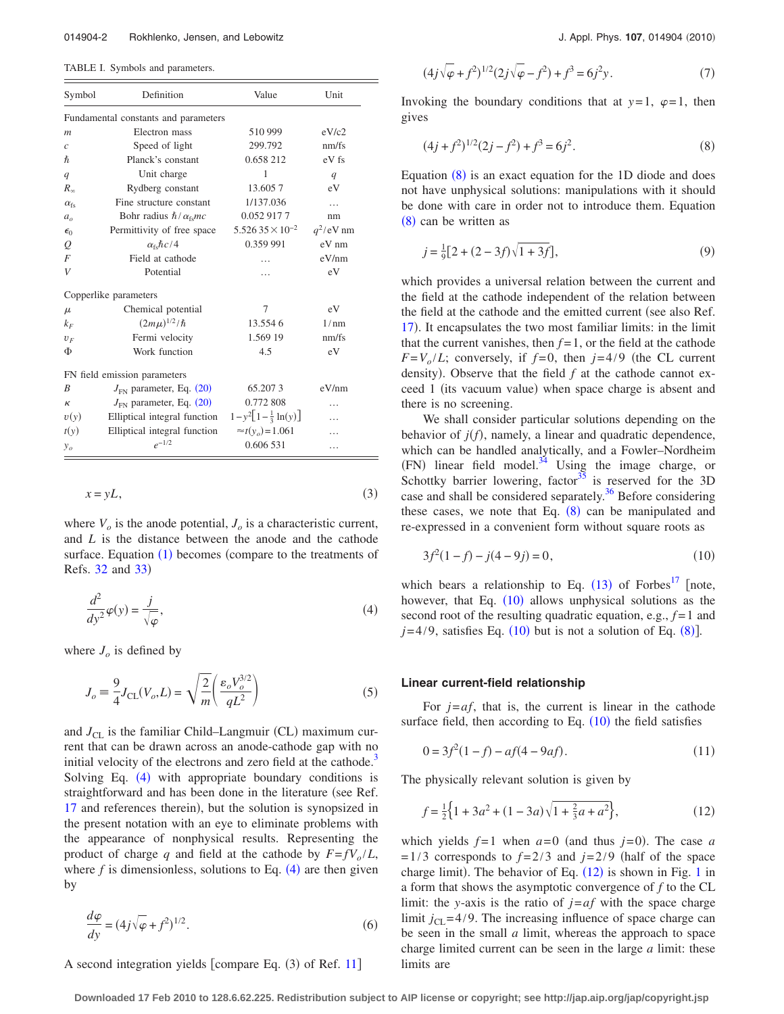<span id="page-1-0"></span>TABLE I. Symbols and parameters.

| Symbol                               | Definition                                                | Value                    | Unit         |
|--------------------------------------|-----------------------------------------------------------|--------------------------|--------------|
| Fundamental constants and parameters |                                                           |                          |              |
| $\mathfrak{m}$                       | Electron mass                                             | 510 999                  | eV/c2        |
| $\mathcal{C}$                        | Speed of light                                            | 299.792                  | nm/fs        |
| $\hbar$                              | Planck's constant                                         | 0.658 212                | eV fs        |
| q                                    | Unit charge                                               | 1                        | q            |
| $R_{\infty}$                         | Rydberg constant                                          | 13.6057                  | eV           |
| $\alpha_{\rm fc}$                    | Fine structure constant                                   | 1/137.036                | $\cdots$     |
| $a_{\alpha}$                         | Bohr radius $\hbar / \alpha_{\rm fs} mc$                  | 0.052 917 7              | nm           |
| $\epsilon_0$                         | Permittivity of free space                                | $5.52635 \times 10^{-2}$ | $q^2$ /eV nm |
| Q                                    | $\alpha_{\rm fs}\hbar c/4$                                | 0.359 991                | eV nm        |
| $\overline{F}$                       | Field at cathode                                          | .                        | eV/nm        |
| V                                    | Potential                                                 | .                        | eV           |
| Copperlike parameters                |                                                           |                          |              |
| $\mu$                                | Chemical potential                                        | 7                        | eV           |
| $k_F$                                | $(2m\mu)^{1/2}/\hbar$                                     | 13.5546                  | 1/nm         |
| $U_F$                                | Fermi velocity                                            | 1.569 19                 | nm/fs        |
| Φ                                    | Work function                                             | 4.5                      | eV           |
| FN field emission parameters         |                                                           |                          |              |
| B                                    | $J_{FN}$ parameter, Eq. (20)                              | 65.2073                  | eV/nm        |
| к                                    | $J_{FN}$ parameter, Eq. (20)                              | 0.772 808                |              |
| v(y)                                 | Elliptical integral function $1-y^2[1-\frac{1}{3}\ln(y)]$ |                          |              |
| t(y)                                 | Elliptical integral function                              | $\approx t(y_0) = 1.061$ |              |
| $y_o$                                | $e^{-1/2}$                                                | 0.606 531                | .            |

$$
x = yL,\tag{3}
$$

where  $V<sub>o</sub>$  is the anode potential,  $J<sub>o</sub>$  is a characteristic current, and *L* is the distance between the anode and the cathode surface. Equation  $(1)$  $(1)$  $(1)$  becomes (compare to the treatments of Refs. [32](#page-9-5) and [33](#page-9-6))

<span id="page-1-1"></span>
$$
\frac{d^2}{dy^2}\varphi(y) = \frac{j}{\sqrt{\varphi}},\tag{4}
$$

<span id="page-1-6"></span>where  $J<sub>o</sub>$  is defined by

$$
J_o \equiv \frac{9}{4} J_{\text{CL}}(V_o, L) = \sqrt{\frac{2}{m}} \left( \frac{\varepsilon_o V_o^{3/2}}{qL^2} \right) \tag{5}
$$

and  $J_{CL}$  is the familiar Child–Langmuir (CL) maximum current that can be drawn across an anode-cathode gap with no initial velocity of the electrons and zero field at the cathode.<sup>[3](#page-8-17)</sup> Solving Eq. ([4](#page-1-1)) with appropriate boundary conditions is straightforward and has been done in the literature (see Ref. [17](#page-8-8) and references therein), but the solution is synopsized in the present notation with an eye to eliminate problems with the appearance of nonphysical results. Representing the product of charge *q* and field at the cathode by  $F = fV_o/L$ , where  $f$  is dimensionless, solutions to Eq.  $(4)$  $(4)$  $(4)$  are then given by

$$
\frac{d\varphi}{dy} = (4j\sqrt{\varphi} + f^2)^{1/2}.
$$
\n(6)

A second integration yields [compare Eq.  $(3)$  of Ref. [11](#page-8-6)]

$$
(4j\sqrt{\varphi} + f^2)^{1/2} (2j\sqrt{\varphi} - f^2) + f^3 = 6j^2 y.
$$
 (7)

Invoking the boundary conditions that at  $y=1$ ,  $\varphi=1$ , then gives

<span id="page-1-2"></span>
$$
(4j + f2)1/2(2j - f2) + f3 = 6j2.
$$
 (8)

Equation  $(8)$  $(8)$  $(8)$  is an exact equation for the 1D diode and does not have unphysical solutions: manipulations with it should be done with care in order not to introduce them. Equation ([8](#page-1-2)) can be written as

<span id="page-1-5"></span>
$$
j = \frac{1}{9} [2 + (2 - 3f)\sqrt{1 + 3f}], \tag{9}
$$

which provides a universal relation between the current and the field at the cathode independent of the relation between the field at the cathode and the emitted current (see also Ref. [17](#page-8-8)). It encapsulates the two most familiar limits: in the limit that the current vanishes, then  $f=1$ , or the field at the cathode  $F = V_o / L$ ; conversely, if  $f = 0$ , then  $j = 4/9$  (the CL current density). Observe that the field  $f$  at the cathode cannot exceed 1 (its vacuum value) when space charge is absent and there is no screening.

We shall consider particular solutions depending on the behavior of  $j(f)$ , namely, a linear and quadratic dependence, which can be handled analytically, and a Fowler–Nordheim  $(FN)$  linear field model.<sup>34</sup> Using the image charge, or Schottky barrier lowering, factor<sup>35</sup> is reserved for the 3D case and shall be considered separately.<sup>36</sup> Before considering these cases, we note that Eq.  $(8)$  $(8)$  $(8)$  can be manipulated and re-expressed in a convenient form without square roots as

<span id="page-1-3"></span>
$$
3f^2(1-f) - j(4-9j) = 0,\t(10)
$$

which bears a relationship to Eq.  $(13)$  $(13)$  $(13)$  of Forbes<sup>17</sup> [note, however, that Eq. ([10](#page-1-3)) allows unphysical solutions as the second root of the resulting quadratic equation, e.g.,  $f = 1$  and  $j=4/9$ , satisfies Eq. ([10](#page-1-3)) but is not a solution of Eq. ([8](#page-1-2)).

#### **Linear current-field relationship**

For *j*=*af*, that is, the current is linear in the cathode surface field, then according to Eq.  $(10)$  $(10)$  $(10)$  the field satisfies

$$
0 = 3f^2(1-f) - af(4-9af). \tag{11}
$$

<span id="page-1-4"></span>The physically relevant solution is given by

$$
f = \frac{1}{2} \left\{ 1 + 3a^2 + (1 - 3a)\sqrt{1 + \frac{2}{3}a + a^2} \right\},\tag{12}
$$

which yields  $f=1$  when  $a=0$  (and thus  $j=0$ ). The case  $a$  $= 1/3$  corresponds to  $f = 2/3$  and  $j = 2/9$  (half of the space charge limit). The behavior of Eq.  $(12)$  $(12)$  $(12)$  is shown in Fig. [1](#page-2-1) in a form that shows the asymptotic convergence of *f* to the CL limit: the *y*-axis is the ratio of  $j = af$  with the space charge limit  $j_{\text{CL}} = 4/9$ . The increasing influence of space charge can be seen in the small *a* limit, whereas the approach to space charge limited current can be seen in the large *a* limit: these limits are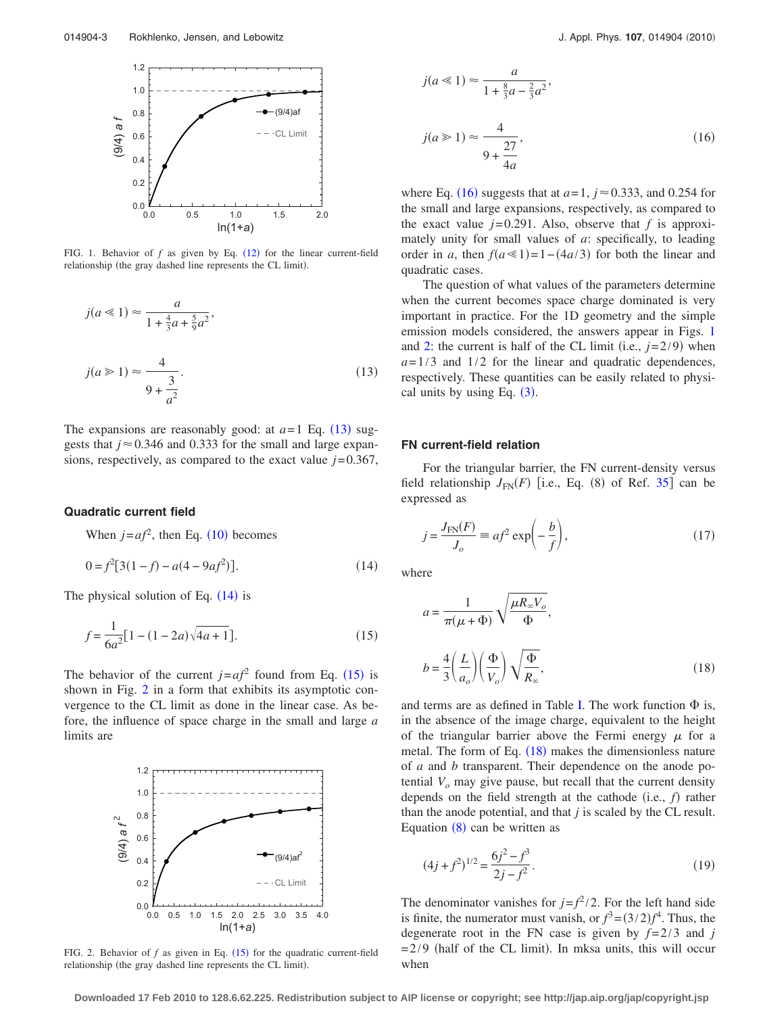<span id="page-2-1"></span>

FIG. 1. Behavior of  $f$  as given by Eq.  $(12)$  $(12)$  $(12)$  for the linear current-field relationship (the gray dashed line represents the CL limit).

<span id="page-2-0"></span>
$$
j(a \ll 1) \approx \frac{a}{1 + \frac{4}{3}a + \frac{5}{9}a^2},
$$
  

$$
j(a \gg 1) \approx \frac{4}{9 + \frac{3}{a^2}}.
$$
 (13)

The expansions are reasonably good: at  $a=1$  Eq. ([13](#page-2-0)) suggests that  $j \approx 0.346$  and 0.333 for the small and large expansions, respectively, as compared to the exact value  $j=0.367$ ,

#### **Quadratic current field**

When  $j = af^2$ , then Eq. ([10](#page-1-3)) becomes

<span id="page-2-2"></span>
$$
0 = f2[3(1-f) - a(4-9af2)].
$$
\n(14)

<span id="page-2-3"></span>The physical solution of Eq.  $(14)$  $(14)$  $(14)$  is

$$
f = \frac{1}{6a^2} [1 - (1 - 2a)\sqrt{4a + 1}].
$$
 (15)

The behavior of the current  $j = af^2$  found from Eq. ([15](#page-2-3)) is shown in Fig. [2](#page-2-4) in a form that exhibits its asymptotic convergence to the CL limit as done in the linear case. As before, the influence of space charge in the small and large *a* limits are

<span id="page-2-4"></span>

FIG. 2. Behavior of  $f$  as given in Eq.  $(15)$  $(15)$  $(15)$  for the quadratic current-field relationship (the gray dashed line represents the CL limit).

<span id="page-2-5"></span>
$$
j(a \le 1) \approx \frac{a}{1 + \frac{8}{3}a - \frac{2}{3}a^2},
$$
  

$$
j(a \ge 1) \approx \frac{4}{9 + \frac{27}{4a}},
$$
 (16)

where Eq. ([16](#page-2-5)) suggests that at  $a=1$ ,  $j \approx 0.333$ , and 0.254 for the small and large expansions, respectively, as compared to the exact value  $j=0.291$ . Also, observe that  $f$  is approximately unity for small values of *a*: specifically, to leading order in *a*, then  $f(a \le 1) = 1 - (4a/3)$  for both the linear and quadratic cases.

The question of what values of the parameters determine when the current becomes space charge dominated is very important in practice. For the 1D geometry and the simple emission models considered, the answers appear in Figs. [1](#page-2-1) and [2:](#page-2-4) the current is half of the CL limit (i.e.,  $j=2/9$ ) when  $a=1/3$  and  $1/2$  for the linear and quadratic dependences, respectively. These quantities can be easily related to physical units by using Eq.  $(3)$  $(3)$  $(3)$ .

#### **FN current-field relation**

For the triangular barrier, the FN current-density versus field relationship  $J_{FN}(F)$  [i.e., Eq. (8) of Ref. [35](#page-9-8)] can be expressed as

<span id="page-2-7"></span>
$$
j = \frac{J_{\text{FN}}(F)}{J_o} \equiv af^2 \exp\left(-\frac{b}{f}\right),\tag{17}
$$

<span id="page-2-6"></span>where

$$
a = \frac{1}{\pi(\mu + \Phi)} \sqrt{\frac{\mu R_{\infty} V_o}{\Phi}},
$$

$$
b = \frac{4}{3} \left(\frac{L}{a_o}\right) \left(\frac{\Phi}{V_o}\right) \sqrt{\frac{\Phi}{R_{\infty}}},
$$
(18)

and terms are as defined in Table [I.](#page-1-0) The work function  $\Phi$  is, in the absence of the image charge, equivalent to the height of the triangular barrier above the Fermi energy  $\mu$  for a metal. The form of Eq.  $(18)$  $(18)$  $(18)$  makes the dimensionless nature of *a* and *b* transparent. Their dependence on the anode potential  $V<sub>o</sub>$  may give pause, but recall that the current density depends on the field strength at the cathode  $(i.e., f)$  rather than the anode potential, and that *j* is scaled by the CL result. Equation  $(8)$  $(8)$  $(8)$  can be written as

$$
(4j + f2)1/2 = \frac{6j^{2} - f^{3}}{2j - f^{2}}.
$$
 (19)

The denominator vanishes for  $j = f^2/2$ . For the left hand side is finite, the numerator must vanish, or  $f^3 = (3/2)f^4$ . Thus, the degenerate root in the FN case is given by  $f=2/3$  and *j*  $= 2/9$  (half of the CL limit). In mksa units, this will occur when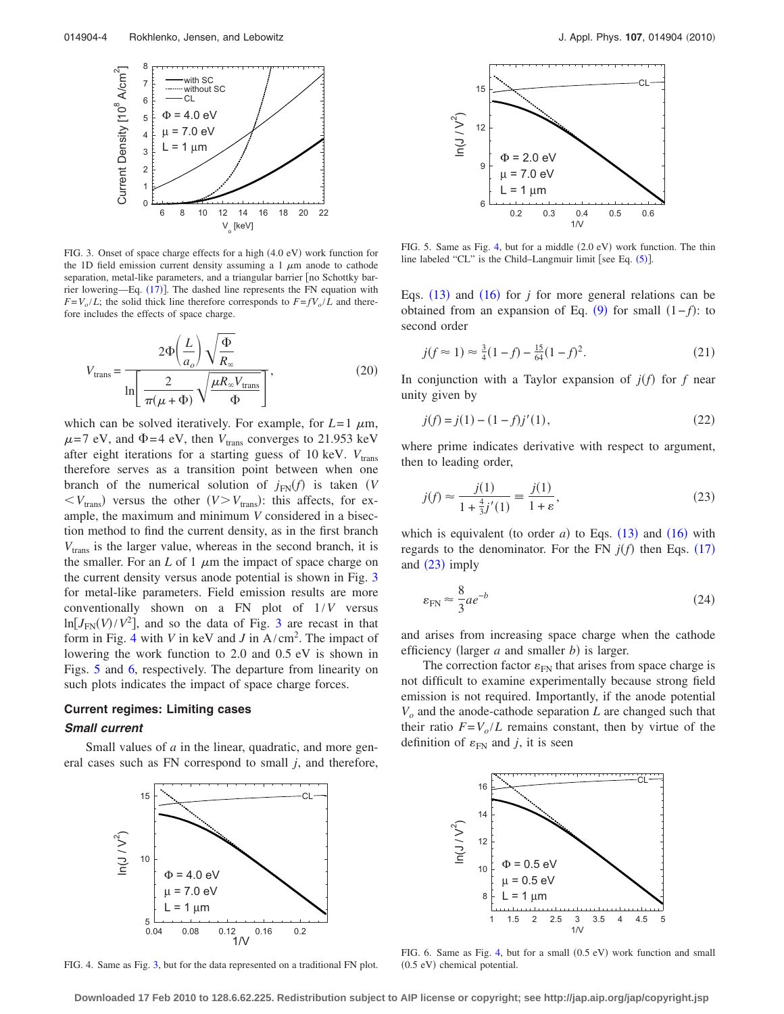<span id="page-3-1"></span>

FIG. 3. Onset of space charge effects for a high (4.0 eV) work function for the 1D field emission current density assuming a 1  $\mu$ m anode to cathode separation, metal-like parameters, and a triangular barrier [no Schottky bar-rier lowering—Eq. ([17](#page-2-7))]. The dashed line represents the FN equation with  $F = V_o / L$ ; the solid thick line therefore corresponds to  $F = fV_o / L$  and therefore includes the effects of space charge.

<span id="page-3-0"></span>
$$
V_{\text{trans}} = \frac{2\Phi\left(\frac{L}{a_o}\right)\sqrt{\frac{\Phi}{R_{\infty}}}}{\ln\left[\frac{2}{\pi(\mu+\Phi)}\sqrt{\frac{\mu R_{\infty}V_{\text{trans}}}{\Phi}}\right]},\tag{20}
$$

which can be solved iteratively. For example, for  $L=1 \mu m$ ,  $\mu$ =7 eV, and  $\Phi$ =4 eV, then  $V_{trans}$  converges to 21.953 keV after eight iterations for a starting guess of 10 keV.  $V_{trans}$ therefore serves as a transition point between when one branch of the numerical solution of  $j_{FN}(f)$  is taken *(V*  $\langle V_{\text{trans}} \rangle$  versus the other  $(V > V_{\text{trans}})$ : this affects, for example, the maximum and minimum *V* considered in a bisection method to find the current density, as in the first branch  $V_{trans}$  is the larger value, whereas in the second branch, it is the smaller. For an  $L$  of 1  $\mu$ m the impact of space charge on the current density versus anode potential is shown in Fig. [3](#page-3-1) for metal-like parameters. Field emission results are more conventionally shown on a FN plot of 1/*V* versus  $ln[J<sub>FN</sub>(V)/V<sup>2</sup>]$ , and so the data of Fig. [3](#page-3-1) are recast in that form in Fig. [4](#page-3-2) with *V* in keV and *J* in A/cm<sup>2</sup> . The impact of lowering the work function to 2.0 and 0.5 eV is shown in Figs. [5](#page-3-3) and [6,](#page-3-4) respectively. The departure from linearity on such plots indicates the impact of space charge forces.

## **Current regimes: Limiting cases**

### *Small current*

<span id="page-3-2"></span>Small values of *a* in the linear, quadratic, and more general cases such as FN correspond to small *j*, and therefore,



FIG. 4. Same as Fig. [3,](#page-3-1) but for the data represented on a traditional FN plot.

<span id="page-3-3"></span>

FIG. 5. Same as Fig. [4,](#page-3-2) but for a middle (2.0 eV) work function. The thin line labeled "CL" is the Child–Langmuir limit [see Eq.  $(5)$  $(5)$  $(5)$ ].

Eqs.  $(13)$  $(13)$  $(13)$  and  $(16)$  $(16)$  $(16)$  for *j* for more general relations can be obtained from an expansion of Eq.  $(9)$  $(9)$  $(9)$  for small  $(1-f)$ : to second order

$$
j(f \approx 1) \approx \frac{3}{4}(1-f) - \frac{15}{64}(1-f)^2.
$$
 (21)

In conjunction with a Taylor expansion of  $j(f)$  for  $f$  near unity given by

$$
j(f) = j(1) - (1 - f)j'(1),
$$
\n(22)

where prime indicates derivative with respect to argument, then to leading order,

<span id="page-3-5"></span>
$$
j(f) \approx \frac{j(1)}{1 + \frac{4}{3}j'(1)} \equiv \frac{j(1)}{1 + \varepsilon},
$$
\n(23)

which is equivalent (to order  $a$ ) to Eqs.  $(13)$  $(13)$  $(13)$  and  $(16)$  $(16)$  $(16)$  with regards to the denominator. For the FN  $j(f)$  then Eqs. ([17](#page-2-7)) and  $(23)$  $(23)$  $(23)$  imply

$$
\varepsilon_{\rm FN} \approx \frac{8}{3} a e^{-b} \tag{24}
$$

and arises from increasing space charge when the cathode efficiency (larger  $a$  and smaller  $b$ ) is larger.

The correction factor  $\varepsilon_{FN}$  that arises from space charge is not difficult to examine experimentally because strong field emission is not required. Importantly, if the anode potential *Vo* and the anode-cathode separation *L* are changed such that their ratio  $F = V_o / L$  remains constant, then by virtue of the definition of  $\varepsilon_{FN}$  and *j*, it is seen

<span id="page-3-4"></span>

FIG. 6. Same as Fig. [4,](#page-3-2) but for a small (0.5 eV) work function and small (0.5 eV) chemical potential.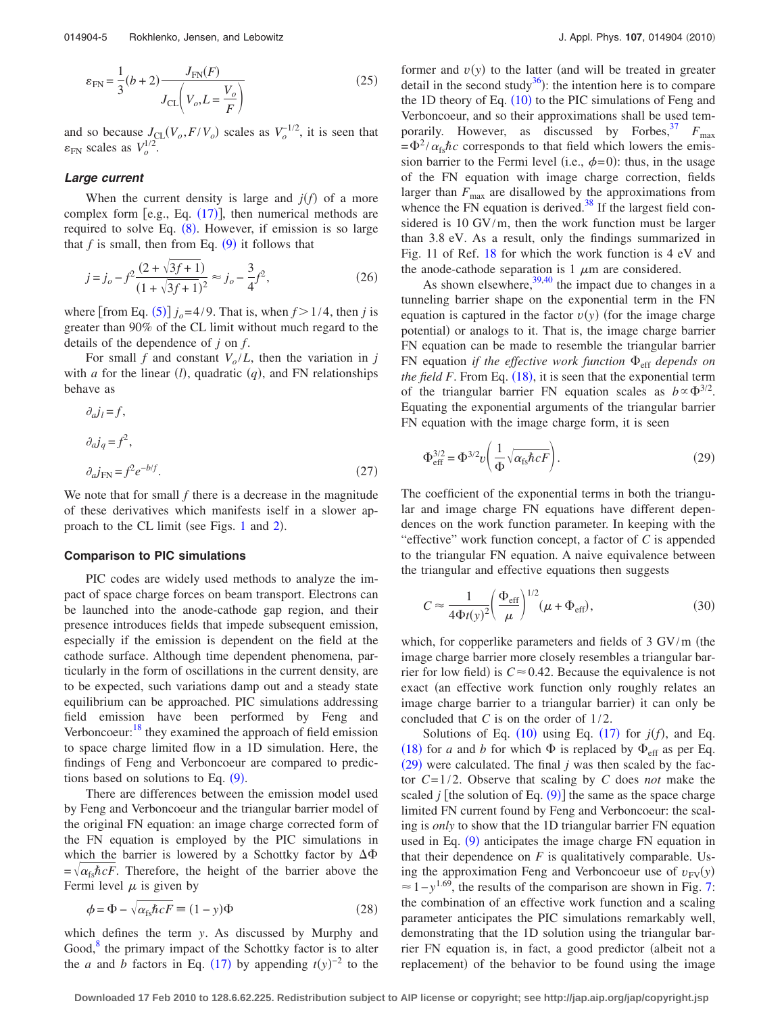$$
\varepsilon_{FN} = \frac{1}{3}(b+2)\frac{J_{FN}(F)}{J_{CL}\left(V_o, L = \frac{V_o}{F}\right)}
$$
(25)

and so because  $J_{CL}(V_o, F/V_o)$  scales as  $V_o^{-1/2}$ , it is seen that  $\varepsilon_{\text{FN}}$  scales as  $V_o^{1/2}$ .

#### *Large current*

When the current density is large and  $j(f)$  of a more complex form [e.g., Eq.  $(17)$  $(17)$  $(17)$ ], then numerical methods are required to solve Eq. ([8](#page-1-2)). However, if emission is so large that  $f$  is small, then from Eq.  $(9)$  $(9)$  $(9)$  it follows that

$$
j = j_o - f^2 \frac{(2 + \sqrt{3f + 1})}{(1 + \sqrt{3f + 1})^2} \approx j_o - \frac{3}{4} f^2,
$$
 (26)

where [from Eq.  $(5)$  $(5)$  $(5)$ ]  $j_o = 4/9$ . That is, when  $f > 1/4$ , then *j* is greater than 90% of the CL limit without much regard to the details of the dependence of *j* on *f*.

For small *f* and constant  $V_o/L$ , then the variation in *j* with *a* for the linear  $(l)$ , quadratic  $(q)$ , and FN relationships behave as

$$
\partial_a j_l = f,
$$
  
\n
$$
\partial_a j_q = f^2,
$$
  
\n
$$
\partial_a j_{FN} = f^2 e^{-b/f}.
$$
\n(27)

We note that for small *f* there is a decrease in the magnitude of these derivatives which manifests iself in a slower ap-proach to the CL limit (see Figs. [1](#page-2-1) and [2](#page-2-4)).

#### **Comparison to PIC simulations**

PIC codes are widely used methods to analyze the impact of space charge forces on beam transport. Electrons can be launched into the anode-cathode gap region, and their presence introduces fields that impede subsequent emission, especially if the emission is dependent on the field at the cathode surface. Although time dependent phenomena, particularly in the form of oscillations in the current density, are to be expected, such variations damp out and a steady state equilibrium can be approached. PIC simulations addressing field emission have been performed by Feng and Verboncoeur: $18$ <sup>they</sup> examined the approach of field emission to space charge limited flow in a 1D simulation. Here, the findings of Feng and Verboncoeur are compared to predictions based on solutions to Eq.  $(9)$  $(9)$  $(9)$ .

There are differences between the emission model used by Feng and Verboncoeur and the triangular barrier model of the original FN equation: an image charge corrected form of the FN equation is employed by the PIC simulations in which the barrier is lowered by a Schottky factor by  $\Delta\Phi$  $=\sqrt{\alpha_{fs}\hbar cF}$ . Therefore, the height of the barrier above the Fermi level  $\mu$  is given by

$$
\phi = \Phi - \sqrt{\alpha_{\text{fs}} \hbar c F} \equiv (1 - y)\Phi \tag{28}
$$

which defines the term *y*. As discussed by Murphy and Good, $8$ <sup>8</sup> the primary impact of the Schottky factor is to alter the *a* and *b* factors in Eq. ([17](#page-2-7)) by appending  $t(y)^{-2}$  to the

former and  $v(y)$  to the latter (and will be treated in greater detail in the second study<sup>36</sup>): the intention here is to compare the 1D theory of Eq.  $(10)$  $(10)$  $(10)$  to the PIC simulations of Feng and Verboncoeur, and so their approximations shall be used temporarily. However, as discussed by Forbes,  $F_{\text{max}}$  $=\Phi^2/\alpha_{fs}\hbar c$  corresponds to that field which lowers the emission barrier to the Fermi level (i.e.,  $\phi = 0$ ): thus, in the usage of the FN equation with image charge correction, fields larger than  $F_{\text{max}}$  are disallowed by the approximations from whence the FN equation is derived. $38$  If the largest field considered is 10 GV/m, then the work function must be larger than 3.8 eV. As a result, only the findings summarized in Fig. 11 of Ref. [18](#page-8-9) for which the work function is 4 eV and the anode-cathode separation is 1  $\mu$ m are considered.

As shown elsewhere,  $39,40$  $39,40$  the impact due to changes in a tunneling barrier shape on the exponential term in the FN equation is captured in the factor  $v(y)$  (for the image charge potential) or analogs to it. That is, the image charge barrier FN equation can be made to resemble the triangular barrier FN equation *if the effective work function*  $\Phi_{\text{eff}}$  *depends on the field F*. From Eq.  $(18)$  $(18)$  $(18)$ , it is seen that the exponential term of the triangular barrier FN equation scales as  $b \propto \Phi^{3/2}$ . Equating the exponential arguments of the triangular barrier FN equation with the image charge form, it is seen

<span id="page-4-0"></span>
$$
\Phi_{\text{eff}}^{3/2} = \Phi^{3/2} v \left( \frac{1}{\Phi} \sqrt{\alpha_{\text{fs}} \hbar c F} \right). \tag{29}
$$

The coefficient of the exponential terms in both the triangular and image charge FN equations have different dependences on the work function parameter. In keeping with the "effective" work function concept, a factor of *C* is appended to the triangular FN equation. A naive equivalence between the triangular and effective equations then suggests

<span id="page-4-1"></span>
$$
C \approx \frac{1}{4\Phi t(y)^2} \left(\frac{\Phi_{\rm eff}}{\mu}\right)^{1/2} (\mu + \Phi_{\rm eff}),\tag{30}
$$

which, for copperlike parameters and fields of  $3 \text{ GV/m}$  (the image charge barrier more closely resembles a triangular barrier for low field) is  $C \approx 0.42$ . Because the equivalence is not exact (an effective work function only roughly relates an image charge barrier to a triangular barrier) it can only be concluded that *C* is on the order of 1/2.

Solutions of Eq.  $(10)$  $(10)$  $(10)$  using Eq.  $(17)$  $(17)$  $(17)$  for  $j(f)$ , and Eq. ([18](#page-2-6)) for *a* and *b* for which  $\Phi$  is replaced by  $\Phi_{\text{eff}}$  as per Eq.  $(29)$  $(29)$  $(29)$  were calculated. The final *j* was then scaled by the factor *C*= 1/2. Observe that scaling by *C* does *not* make the scaled  $j$  [the solution of Eq.  $(9)$  $(9)$  $(9)$ ] the same as the space charge limited FN current found by Feng and Verboncoeur: the scaling is *only* to show that the 1D triangular barrier FN equation used in Eq. ([9](#page-1-5)) anticipates the image charge FN equation in that their dependence on  $F$  is qualitatively comparable. Using the approximation Feng and Verboncoeur use of  $v_{FV}(y)$  $\approx 1 - y^{1.69}$ , the results of the comparison are shown in Fig. [7:](#page-5-0) the combination of an effective work function and a scaling parameter anticipates the PIC simulations remarkably well, demonstrating that the 1D solution using the triangular barrier FN equation is, in fact, a good predictor (albeit not a replacement) of the behavior to be found using the image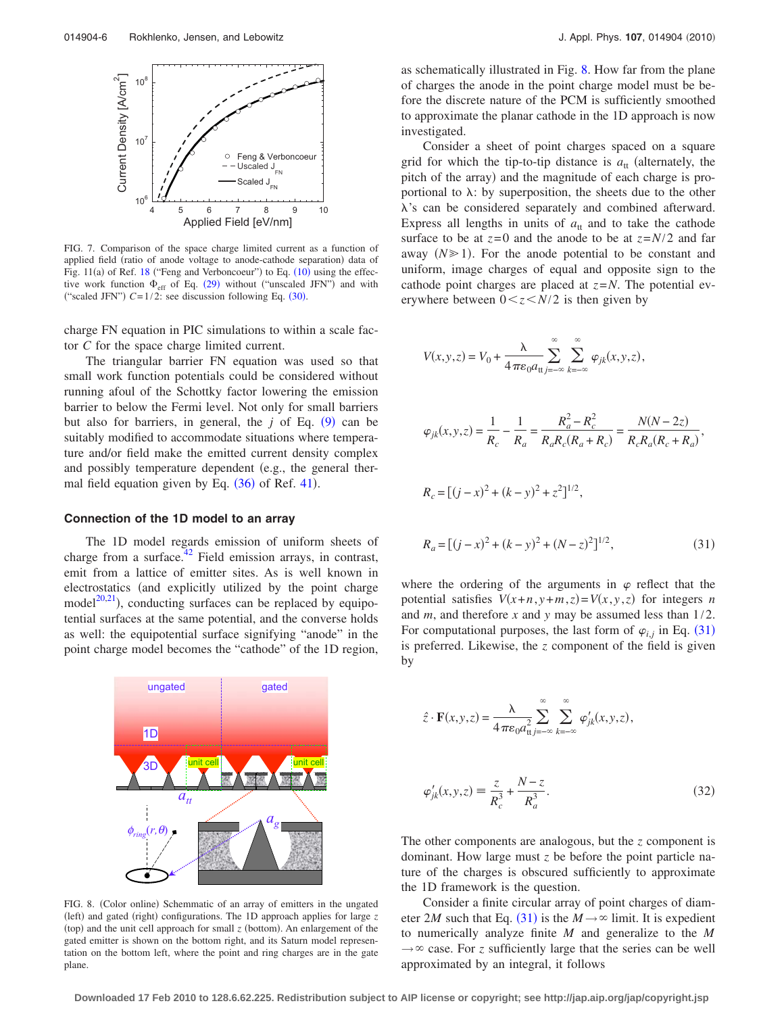<span id="page-5-0"></span>

FIG. 7. Comparison of the space charge limited current as a function of applied field (ratio of anode voltage to anode-cathode separation) data of Fig.  $11(a)$  of Ref. [18](#page-8-9) ("Feng and Verboncoeur") to Eq.  $(10)$  $(10)$  $(10)$  using the effective work function  $\Phi_{\text{eff}}$  of Eq. ([29](#page-4-0)) without ("unscaled JFN") and with ("scaled JFN")  $C = 1/2$ : see discussion following Eq.  $(30)$  $(30)$  $(30)$ .

charge FN equation in PIC simulations to within a scale factor *C* for the space charge limited current.

The triangular barrier FN equation was used so that small work function potentials could be considered without running afoul of the Schottky factor lowering the emission barrier to below the Fermi level. Not only for small barriers but also for barriers, in general, the  $j$  of Eq.  $(9)$  $(9)$  $(9)$  can be suitably modified to accommodate situations where temperature and/or field make the emitted current density complex and possibly temperature dependent (e.g., the general thermal field equation given by Eq.  $(36)$  $(36)$  $(36)$  of Ref. [41](#page-9-14)).

#### **Connection of the 1D model to an array**

The 1D model regards emission of uniform sheets of charge from a surface. $42$  Field emission arrays, in contrast, emit from a lattice of emitter sites. As is well known in electrostatics (and explicitly utilized by the point charge model $20,21$  $20,21$ ), conducting surfaces can be replaced by equipotential surfaces at the same potential, and the converse holds as well: the equipotential surface signifying "anode" in the point charge model becomes the "cathode" of the 1D region,

<span id="page-5-1"></span>

FIG. 8. (Color online) Schemmatic of an array of emitters in the ungated (left) and gated (right) configurations. The 1D approach applies for large *z* (top) and the unit cell approach for small  $z$  (bottom). An enlargement of the gated emitter is shown on the bottom right, and its Saturn model representation on the bottom left, where the point and ring charges are in the gate plane.

as schematically illustrated in Fig. [8.](#page-5-1) How far from the plane of charges the anode in the point charge model must be before the discrete nature of the PCM is sufficiently smoothed to approximate the planar cathode in the 1D approach is now investigated.

Consider a sheet of point charges spaced on a square grid for which the tip-to-tip distance is  $a_{tt}$  (alternately, the pitch of the array) and the magnitude of each charge is proportional to  $\lambda$ : by superposition, the sheets due to the other  $\lambda$ 's can be considered separately and combined afterward. Express all lengths in units of  $a<sub>tt</sub>$  and to take the cathode surface to be at  $z=0$  and the anode to be at  $z=N/2$  and far away  $(N \geq 1)$ . For the anode potential to be constant and uniform, image charges of equal and opposite sign to the cathode point charges are placed at *z*=*N*. The potential everywhere between  $0 \lt z \lt N/2$  is then given by

<span id="page-5-2"></span>
$$
V(x, y, z) = V_0 + \frac{\lambda}{4\pi\epsilon_0 a_{\text{tt}}}\sum_{j=-\infty}^{\infty}\sum_{k=-\infty}^{\infty}\varphi_{jk}(x, y, z),
$$

$$
\varphi_{jk}(x, y, z) = \frac{1}{R_c} - \frac{1}{R_a} = \frac{R_a^2 - R_c^2}{R_a R_c (R_a + R_c)} = \frac{N(N - 2z)}{R_c R_a (R_c + R_a)},
$$
  

$$
R_c = [(j - x)^2 + (k - y)^2 + z^2]^{1/2},
$$

$$
R_a = [(j - x)^2 + (k - y)^2 + (N - z)^2]^{1/2},
$$
\n(31)

where the ordering of the arguments in  $\varphi$  reflect that the potential satisfies  $V(x+n, y+m, z) = V(x, y, z)$  for integers *n* and *m*, and therefore *x* and *y* may be assumed less than 1/2. For computational purposes, the last form of  $\varphi_{i,j}$  in Eq. ([31](#page-5-2)) is preferred. Likewise, the *z* component of the field is given by

<span id="page-5-3"></span>
$$
\hat{z} \cdot \mathbf{F}(x, y, z) = \frac{\lambda}{4 \pi \varepsilon_0 a_{\text{tt}}^2} \sum_{j=-\infty}^{\infty} \sum_{k=-\infty}^{\infty} \varphi'_{jk}(x, y, z),
$$

$$
\varphi'_{jk}(x, y, z) \equiv \frac{z}{R_c^3} + \frac{N - z}{R_a^3}.
$$
(32)

The other components are analogous, but the *z* component is dominant. How large must *z* be before the point particle nature of the charges is obscured sufficiently to approximate the 1D framework is the question.

Consider a finite circular array of point charges of diameter 2*M* such that Eq. ([31](#page-5-2)) is the  $M \rightarrow \infty$  limit. It is expedient to numerically analyze finite *M* and generalize to the *M*  $\rightarrow \infty$  case. For *z* sufficiently large that the series can be well approximated by an integral, it follows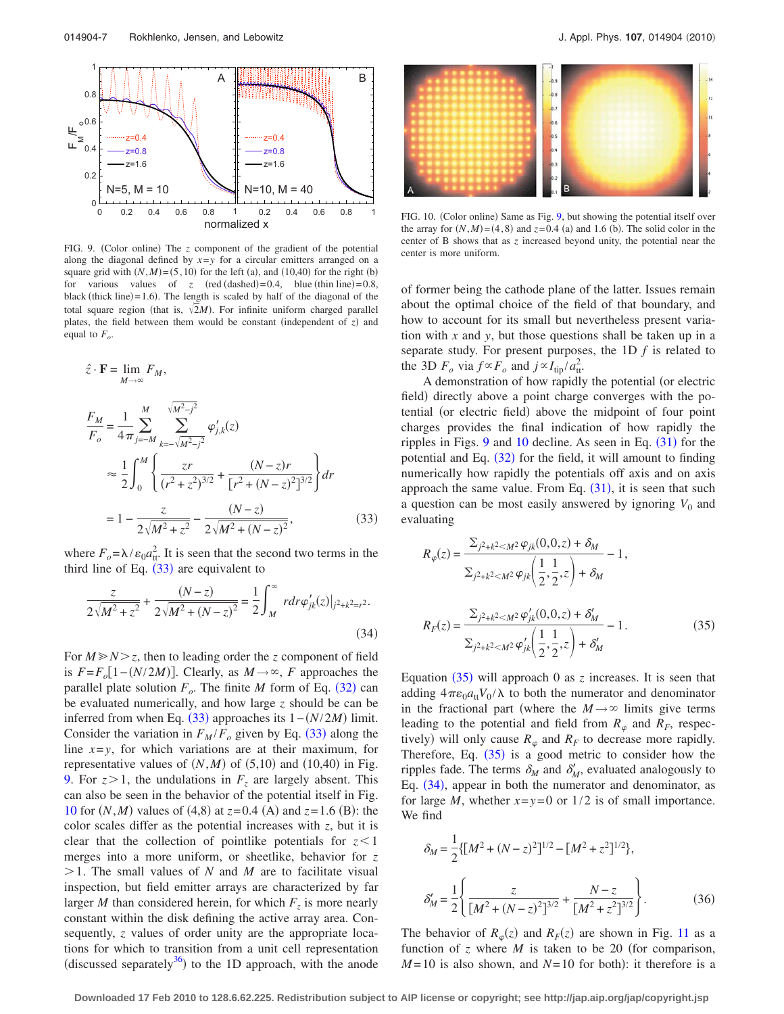<span id="page-6-2"></span>

FIG. 9. (Color online) The *z* component of the gradient of the potential along the diagonal defined by  $x=y$  for a circular emitters arranged on a square grid with  $(N, M) = (5, 10)$  for the left (a), and (10,40) for the right (b) for various values of  $z$  (red (dashed) = 0.4, blue (thin line) = 0.8, black (thick line) =  $1.6$ ). The length is scaled by half of the diagonal of the total square region (that is,  $\sqrt{2M}$ ). For infinite uniform charged parallel plates, the field between them would be constant (independent of  $z$ ) and equal to  $F_o$ .

<span id="page-6-1"></span>
$$
\hat{z} \cdot \mathbf{F} = \lim_{M \to \infty} F_M,
$$
\n
$$
\frac{F_M}{F_o} = \frac{1}{4\pi} \sum_{j=-M}^{M} \sum_{k=-\sqrt{M^2 - j^2}}^{\sqrt{M^2 - j^2}} \varphi'_{j,k}(z)
$$
\n
$$
\approx \frac{1}{2} \int_0^M \left\{ \frac{zr}{(r^2 + z^2)^{3/2}} + \frac{(N-z)r}{[r^2 + (N-z)^2]^{3/2}} \right\} dr
$$
\n
$$
= 1 - \frac{z}{2\sqrt{M^2 + z^2}} - \frac{(N-z)}{2\sqrt{M^2 + (N-z)^2}},
$$
\n(33)

where  $F_o = \lambda / \varepsilon_0 a_{tt}^2$ . It is seen that the second two terms in the third line of Eq.  $(33)$  $(33)$  $(33)$  are equivalent to

<span id="page-6-5"></span>
$$
\frac{z}{2\sqrt{M^2 + z^2}} + \frac{(N-z)}{2\sqrt{M^2 + (N-z)^2}} = \frac{1}{2} \int_M^{\infty} r dr \varphi'_{jk}(z)|_{j^2 + k^2 = r^2}.
$$
\n(34)

For  $M \ge N > z$ , then to leading order the *z* component of field is  $F = F_o[1 - (N/2M)]$ . Clearly, as  $M \rightarrow \infty$ , *F* approaches the parallel plate solution  $F_o$ . The finite *M* form of Eq. ([32](#page-5-3)) can be evaluated numerically, and how large *z* should be can be inferred from when Eq.  $(33)$  $(33)$  $(33)$  approaches its  $1 - (N/2M)$  limit. Consider the variation in  $F_M/F_o$  given by Eq. ([33](#page-6-1)) along the line  $x=y$ , for which variations are at their maximum, for representative values of  $(N, M)$  of  $(5, 10)$  and  $(10, 40)$  in Fig. [9.](#page-6-2) For  $z > 1$ , the undulations in  $F<sub>z</sub>$  are largely absent. This can also be seen in the behavior of the potential itself in Fig. [10](#page-6-3) for  $(N, M)$  values of  $(4, 8)$  at  $z = 0.4$  (A) and  $z = 1.6$  (B): the color scales differ as the potential increases with *z*, but it is clear that the collection of pointlike potentials for  $z < 1$ merges into a more uniform, or sheetlike, behavior for *z*  $>1$ . The small values of *N* and *M* are to facilitate visual inspection, but field emitter arrays are characterized by far larger *M* than considered herein, for which  $F<sub>z</sub>$  is more nearly constant within the disk defining the active array area. Consequently, *z* values of order unity are the appropriate locations for which to transition from a unit cell representation (discussed separately $36$ ) to the 1D approach, with the anode

<span id="page-6-3"></span>

FIG. 10. (Color online) Same as Fig. [9,](#page-6-2) but showing the potential itself over the array for  $(N, M) = (4, 8)$  and  $z = 0.4$  (a) and 1.6 (b). The solid color in the center of B shows that as *z* increased beyond unity, the potential near the center is more uniform.

of former being the cathode plane of the latter. Issues remain about the optimal choice of the field of that boundary, and how to account for its small but nevertheless present variation with *x* and *y*, but those questions shall be taken up in a separate study. For present purposes, the 1D *f* is related to the 3D  $F_o$  via  $f \propto F_o$  and  $j \propto I_{\text{tip}} / a_{\text{tt}}^2$ .

A demonstration of how rapidly the potential (or electric field) directly above a point charge converges with the potential (or electric field) above the midpoint of four point charges provides the final indication of how rapidly the ripples in Figs.  $9$  and  $10$  decline. As seen in Eq.  $(31)$  $(31)$  $(31)$  for the potential and Eq.  $(32)$  $(32)$  $(32)$  for the field, it will amount to finding numerically how rapidly the potentials off axis and on axis approach the same value. From Eq.  $(31)$  $(31)$  $(31)$ , it is seen that such a question can be most easily answered by ignoring  $V_0$  and evaluating

<span id="page-6-4"></span>
$$
R_{\varphi}(z) = \frac{\sum_{j^{2}+k^{2} \le M^{2}} \varphi_{jk}(0,0,z) + \delta_{M}}{\sum_{j^{2}+k^{2} \le M^{2}} \varphi_{jk} \left(\frac{1}{2}, \frac{1}{2}, z\right) + \delta_{M}} - 1,
$$
  

$$
R_{F}(z) = \frac{\sum_{j^{2}+k^{2} \le M^{2}} \varphi_{jk}'(0,0,z) + \delta_{M}'}{\sum_{j^{2}+k^{2} \le M^{2}} \varphi_{jk}' \left(\frac{1}{2}, \frac{1}{2}, z\right) + \delta_{M}'}
$$
(35)

Equation  $(35)$  $(35)$  $(35)$  will approach 0 as *z* increases. It is seen that adding  $4\pi\epsilon_0 a_{tt}V_0/\lambda$  to both the numerator and denominator in the fractional part (where the  $M \rightarrow \infty$  limits give terms leading to the potential and field from  $R_{\varphi}$  and  $R_F$ , respectively) will only cause  $R_{\varphi}$  and  $R_F$  to decrease more rapidly. Therefore, Eq.  $(35)$  $(35)$  $(35)$  is a good metric to consider how the ripples fade. The terms  $\delta_M$  and  $\delta'_M$ , evaluated analogously to Eq. ([34](#page-6-5)), appear in both the numerator and denominator, as for large *M*, whether  $x=y=0$  or  $1/2$  is of small importance. We find

<span id="page-6-0"></span>
$$
\delta_M = \frac{1}{2} \{ [M^2 + (N - z)^2]^{1/2} - [M^2 + z^2]^{1/2} \},\
$$

$$
\delta'_M = \frac{1}{2} \left\{ \frac{z}{[M^2 + (N - z)^2]^{3/2}} + \frac{N - z}{[M^2 + z^2]^{3/2}} \right\}.
$$
(36)

The behavior of  $R_{\varphi}(z)$  and  $R_F(z)$  are shown in Fig. [11](#page-7-0) as a function of  $z$  where  $M$  is taken to be 20 (for comparison,  $M=10$  is also shown, and  $N=10$  for both): it therefore is a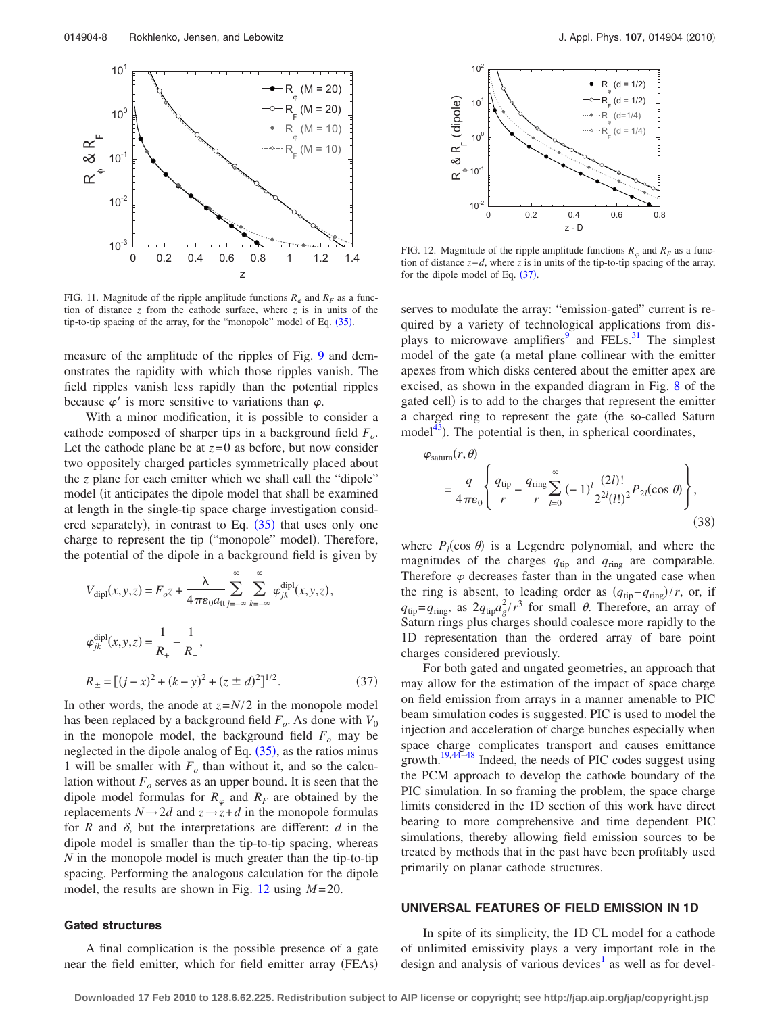<span id="page-7-0"></span>

FIG. 11. Magnitude of the ripple amplitude functions  $R_{\varphi}$  and  $R_F$  as a function of distance  $z$  from the cathode surface, where  $z$  is in units of the tip-to-tip spacing of the array, for the "monopole" model of Eq. ([35](#page-6-4)).

measure of the amplitude of the ripples of Fig. [9](#page-6-2) and demonstrates the rapidity with which those ripples vanish. The field ripples vanish less rapidly than the potential ripples because  $\varphi'$  is more sensitive to variations than  $\varphi$ .

With a minor modification, it is possible to consider a cathode composed of sharper tips in a background field *Fo*. Let the cathode plane be at  $z=0$  as before, but now consider two oppositely charged particles symmetrically placed about the *z* plane for each emitter which we shall call the "dipole" model (it anticipates the dipole model that shall be examined at length in the single-tip space charge investigation considered separately), in contrast to Eq.  $(35)$  $(35)$  $(35)$  that uses only one charge to represent the tip ("monopole" model). Therefore, the potential of the dipole in a background field is given by

<span id="page-7-2"></span>
$$
V_{\text{dipl}}(x, y, z) = F_o z + \frac{\lambda}{4 \pi \varepsilon_0 a_{\text{tt}} \sum_{j=-\infty}^{\infty} \sum_{k=-\infty}^{\infty} \varphi_{jk}^{\text{dipl}}(x, y, z),
$$
  

$$
\varphi_{jk}^{\text{dipl}}(x, y, z) = \frac{1}{R_+} - \frac{1}{R_-},
$$
  

$$
R_{\pm} = [(j - x)^2 + (k - y)^2 + (z \pm d)^2]^{1/2}.
$$
 (37)

In other words, the anode at  $z = N/2$  in the monopole model has been replaced by a background field  $F_o$ . As done with  $V_0$ in the monopole model, the background field  $F<sub>o</sub>$  may be neglected in the dipole analog of Eq.  $(35)$  $(35)$  $(35)$ , as the ratios minus 1 will be smaller with  $F<sub>o</sub>$  than without it, and so the calculation without  $F<sub>o</sub>$  serves as an upper bound. It is seen that the dipole model formulas for  $R_{\varphi}$  and  $R_F$  are obtained by the replacements  $N \rightarrow 2d$  and  $z \rightarrow z + d$  in the monopole formulas for *R* and  $\delta$ , but the interpretations are different: *d* in the dipole model is smaller than the tip-to-tip spacing, whereas *N* in the monopole model is much greater than the tip-to-tip spacing. Performing the analogous calculation for the dipole model, the results are shown in Fig.  $12$  using  $M = 20$ .

#### **Gated structures**

A final complication is the possible presence of a gate near the field emitter, which for field emitter array (FEAs)

<span id="page-7-1"></span>

FIG. 12. Magnitude of the ripple amplitude functions  $R_{\varphi}$  and  $R_F$  as a function of distance *z*−*d*, where *z* is in units of the tip-to-tip spacing of the array, for the dipole model of Eq.  $(37)$  $(37)$  $(37)$ .

serves to modulate the array: "emission-gated" current is required by a variety of technological applications from displays to microwave amplifiers $9^{\circ}$  $9^{\circ}$  and FELs.<sup>[31](#page-9-4)</sup> The simplest model of the gate (a metal plane collinear with the emitter apexes from which disks centered about the emitter apex are excised, as shown in the expanded diagram in Fig. [8](#page-5-1) of the gated cell) is to add to the charges that represent the emitter a charged ring to represent the gate (the so-called Saturn model $^{43}$ ). The potential is then, in spherical coordinates,

$$
\varphi_{\text{saturn}}(r,\theta) = \frac{q}{4\pi\epsilon_0} \left\{ \frac{q_{\text{tip}}}{r} - \frac{q_{\text{ring}}}{r} \sum_{l=0}^{\infty} (-1)^l \frac{(2l)!}{2^{2l}(l!)^2} P_{2l}(\cos\theta) \right\},\tag{38}
$$

where  $P_l(\cos \theta)$  is a Legendre polynomial, and where the magnitudes of the charges  $q_{tip}$  and  $q_{ring}$  are comparable. Therefore  $\varphi$  decreases faster than in the ungated case when the ring is absent, to leading order as  $(q_{\text{tip}}-q_{\text{ring}})/r$ , or, if  $q_{\text{tip}} = q_{\text{ring}}$ , as  $2q_{\text{tip}}a_g^2 / r^3$  for small  $\theta$ . Therefore, an array of Saturn rings plus charges should coalesce more rapidly to the 1D representation than the ordered array of bare point charges considered previously.

For both gated and ungated geometries, an approach that may allow for the estimation of the impact of space charge on field emission from arrays in a manner amenable to PIC beam simulation codes is suggested. PIC is used to model the injection and acceleration of charge bunches especially when space charge complicates transport and causes emittance growth.<sup>19[,44](#page-9-17)[–48](#page-9-18)</sup> Indeed, the needs of PIC codes suggest using the PCM approach to develop the cathode boundary of the PIC simulation. In so framing the problem, the space charge limits considered in the 1D section of this work have direct bearing to more comprehensive and time dependent PIC simulations, thereby allowing field emission sources to be treated by methods that in the past have been profitably used primarily on planar cathode structures.

#### **UNIVERSAL FEATURES OF FIELD EMISSION IN 1D**

In spite of its simplicity, the 1D CL model for a cathode of unlimited emissivity plays a very important role in the design and analysis of various devices<sup>1</sup> as well as for devel-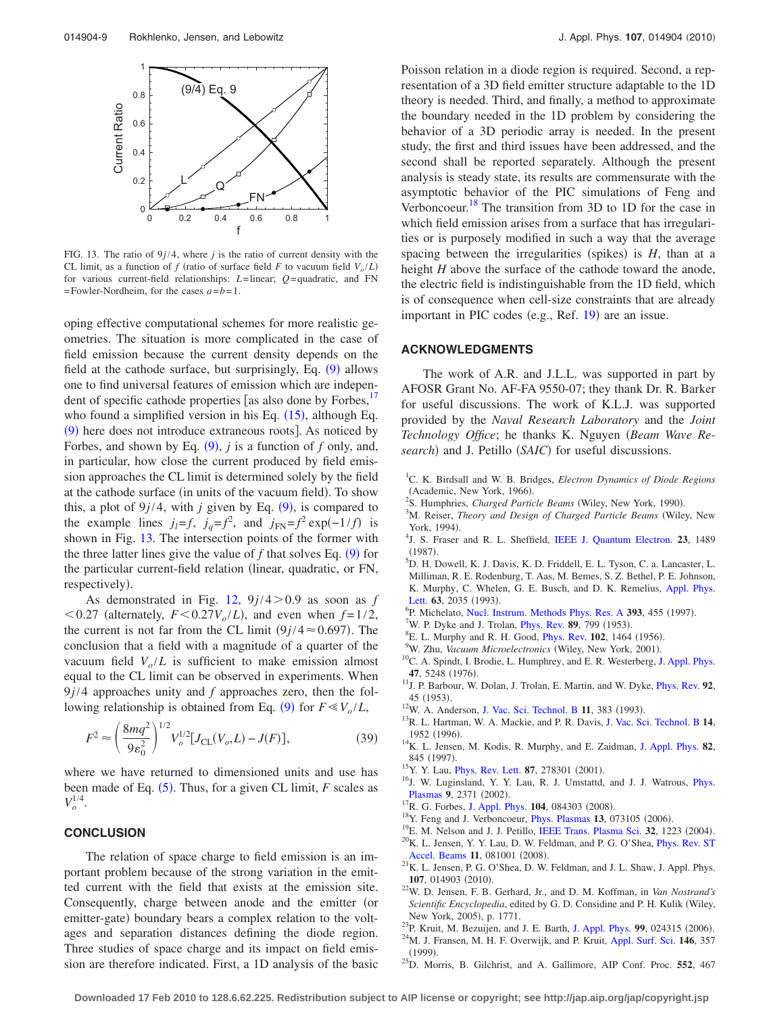<span id="page-8-18"></span>

FIG. 13. The ratio of  $9j/4$ , where *j* is the ratio of current density with the CL limit, as a function of *f* (ratio of surface field *F* to vacuum field  $V_o/L$ ) for various current-field relationships: *L*=linear; *Q*= quadratic, and FN =Fowler-Nordheim, for the cases *a*=*b*=1.

oping effective computational schemes for more realistic geometries. The situation is more complicated in the case of field emission because the current density depends on the field at the cathode surface, but surprisingly, Eq. ([9](#page-1-5)) allows one to find universal features of emission which are independent of specific cathode properties [as also done by Forbes, $^{17}$ who found a simplified version in his Eq.  $(15)$  $(15)$  $(15)$ , although Eq. ([9](#page-1-5)) here does not introduce extraneous roots]. As noticed by Forbes, and shown by Eq.  $(9)$  $(9)$  $(9)$ , *j* is a function of *f* only, and, in particular, how close the current produced by field emission approaches the CL limit is determined solely by the field at the cathode surface (in units of the vacuum field). To show this, a plot of  $9j/4$  $9j/4$ , with *j* given by Eq. (9), is compared to the example lines  $j_l = f$ ,  $j_q = f^2$ , and  $j_{FN} = f^2 \exp(-1/f)$  is shown in Fig. [13.](#page-8-18) The intersection points of the former with the three latter lines give the value of  $f$  that solves Eq.  $(9)$  $(9)$  $(9)$  for the particular current-field relation (linear, quadratic, or FN, respectively).

As demonstrated in Fig.  $12$ ,  $9j/4>0.9$  as soon as *f*  $< 0.27$  (alternately,  $F < 0.27V_o/L$ ), and even when  $f = 1/2$ , the current is not far from the CL limit  $(9j/4 \approx 0.697)$ . The conclusion that a field with a magnitude of a quarter of the vacuum field  $V_o/L$  is sufficient to make emission almost equal to the CL limit can be observed in experiments. When 9*j*/4 approaches unity and *f* approaches zero, then the fol-lowing relationship is obtained from Eq. ([9](#page-1-5)) for  $F \ll V_o/L$ ,

$$
F^2 \approx \left(\frac{8mq^2}{9\varepsilon_0^2}\right)^{1/2} V_o^{1/2} [J_{\text{CL}}(V_o, L) - J(F)],\tag{39}
$$

where we have returned to dimensioned units and use has been made of Eq. ([5](#page-1-6)). Thus, for a given CL limit, *F* scales as  $V_o^{1/4}$ .

# **CONCLUSION**

The relation of space charge to field emission is an important problem because of the strong variation in the emitted current with the field that exists at the emission site. Consequently, charge between anode and the emitter (or emitter-gate) boundary bears a complex relation to the voltages and separation distances defining the diode region. Three studies of space charge and its impact on field emission are therefore indicated. First, a 1D analysis of the basic Poisson relation in a diode region is required. Second, a representation of a 3D field emitter structure adaptable to the 1D theory is needed. Third, and finally, a method to approximate the boundary needed in the 1D problem by considering the behavior of a 3D periodic array is needed. In the present study, the first and third issues have been addressed, and the second shall be reported separately. Although the present analysis is steady state, its results are commensurate with the asymptotic behavior of the PIC simulations of Feng and Verboncoeur.<sup>18</sup> The transition from 3D to 1D for the case in which field emission arises from a surface that has irregularities or is purposely modified in such a way that the average spacing between the irregularities (spikes) is  $H$ , than at a height *H* above the surface of the cathode toward the anode, the electric field is indistinguishable from the 1D field, which is of consequence when cell-size constraints that are already important in PIC codes (e.g., Ref. [19](#page-8-10)) are an issue.

#### **ACKNOWLEDGMENTS**

The work of A.R. and J.L.L. was supported in part by AFOSR Grant No. AF-FA 9550-07; they thank Dr. R. Barker for useful discussions. The work of K.L.J. was supported provided by the *Naval Research Laboratory* and the *Joint Technology Office*; he thanks K. Nguyen *(Beam Wave Re*search) and J. Petillo (SAIC) for useful discussions.

- <span id="page-8-0"></span>1 C. K. Birdsall and W. B. Bridges, *Electron Dynamics of Diode Regions* (Academic, New York, 1966).
- <sup>2</sup>S. Humphries, *Charged Particle Beams* (Wiley, New York, 1990).<br><sup>3</sup>M. Boiser, *Theory and Design of Charged Barticle Beams* (Wile
- <span id="page-8-17"></span>M. Reiser, *Theory and Design of Charged Particle Beams* Wiley, New York, 1994). York, 1994).<br><sup>4</sup>J. S. Fraser and R. L. Sheffield, [IEEE J. Quantum Electron.](http://dx.doi.org/10.1109/JQE.1987.1073544) **23**, 1489
- $^{(1987)}_{5}$ .
- <sup>5</sup>D. H. Dowell, K. J. Davis, K. D. Friddell, E. L. Tyson, C. a. Lancaster, L. Milliman, R. E. Rodenburg, T. Aas, M. Bemes, S. Z. Bethel, P. E. Johnson, K. Murphy, C. Whelen, G. E. Busch, and D. K. Remelius, [Appl. Phys.](http://dx.doi.org/10.1063/1.110583) [Lett.](http://dx.doi.org/10.1063/1.110583)  $63$ , 2035 (1993).
- <span id="page-8-1"></span> ${}^{6}P$ . Michelato, [Nucl. Instrum. Methods Phys. Res. A](http://dx.doi.org/10.1016/S0168-9002(97)00545-7) **393**, 455 (1997).
- <span id="page-8-2"></span><sup>7</sup>W. P. Dyke and J. Trolan, *[Phys. Rev.](http://dx.doi.org/10.1103/PhysRev.89.799)* **89**, 799 (1953).<br><sup>8</sup>E. J. Murphy and B. H. Good, *Phys. Boy.* **102**, 1464.
- <span id="page-8-3"></span> $E^8$ E. L. Murphy and R. H. Good, *[Phys. Rev.](http://dx.doi.org/10.1103/PhysRev.102.1464)* **102**, 1464 (1956).
- <span id="page-8-4"></span><sup>9</sup>W. Zhu, *Vacuum Microelectronics* (Wiley, New York, 2001).
- <span id="page-8-5"></span><sup>10</sup>C. A. Spindt, I. Brodie, L. Humphrey, and E. R. Westerberg, [J. Appl. Phys.](http://dx.doi.org/10.1063/1.322600) **47**, 5248 1976-
- <span id="page-8-6"></span>. 11J. P. Barbour, W. Dolan, J. Trolan, E. Martin, and W. Dyke, [Phys. Rev.](http://dx.doi.org/10.1103/PhysRev.92.45) **<sup>92</sup>**, 45 (1953).
- <sup>12</sup>W. A. Anderson, [J. Vac. Sci. Technol. B](http://dx.doi.org/10.1116/1.586865) 11, 383 (1993).
- <sup>13</sup>R. L. Hartman, W. A. Mackie, and P. R. Davis, [J. Vac. Sci. Technol. B](http://dx.doi.org/10.1116/1.588962) 14, 1952 (1996).
- . 14K. L. Jensen, M. Kodis, R. Murphy, and E. Zaidman, [J. Appl. Phys.](http://dx.doi.org/10.1063/1.365783) **<sup>82</sup>**, 845 (1997).
- <sup>15</sup>Y. Y. Lau, *[Phys. Rev. Lett.](http://dx.doi.org/10.1103/PhysRevLett.87.278301)* **87**, 278301 (2001).
- <span id="page-8-7"></span><sup>16</sup>J. W. Luginsland, Y. Y. Lau, R. J. Umstattd, and J. J. Watrous, *[Phys.](http://dx.doi.org/10.1063/1.1459453)* [Plasmas](http://dx.doi.org/10.1063/1.1459453) 9, 2371 (2002).
- <span id="page-8-8"></span><sup>17</sup>R. G. Forbes, [J. Appl. Phys.](http://dx.doi.org/10.1063/1.2996005) **104**, 084303 (2008).
- <span id="page-8-9"></span><sup>18</sup>Y. Feng and J. Verboncoeur, *[Phys. Plasmas](http://dx.doi.org/10.1063/1.2226977)* **13**, 073105 (2006).
- <span id="page-8-10"></span><sup>19</sup>E. M. Nelson and J. J. Petillo, [IEEE Trans. Plasma Sci.](http://dx.doi.org/10.1109/TPS.2004.828796) **32**, 1223 (2004).
- <span id="page-8-11"></span> $^{20}$ K. L. Jensen, Y. Y. Lau, D. W. Feldman, and P. G. O'Shea, [Phys. Rev. ST](http://dx.doi.org/10.1103/PhysRevSTAB.11.081001) [Accel. Beams](http://dx.doi.org/10.1103/PhysRevSTAB.11.081001) 11, 081001 (2008).
- <span id="page-8-12"></span> $^{21}$ K. L. Jensen, P. G. O'Shea, D. W. Feldman, and J. L. Shaw, J. Appl. Phys. 107, 014903 (2010).
- <span id="page-8-13"></span>. 22W. D. Jensen, F. B. Gerhard, Jr., and D. M. Koffman, in *Van Nostrand's Scientific Encyclopedia*, edited by G. D. Considine and P. H. Kulik Wiley, New York, 2005), p. 1771.
- <span id="page-8-15"></span><span id="page-8-14"></span><sup>23</sup>P. Kruit, M. Bezuijen, and J. E. Barth, [J. Appl. Phys.](http://dx.doi.org/10.1063/1.2162270) **99**, 024315 (2006). . 24M. J. Fransen, M. H. F. Overwijk, and P. Kruit, [Appl. Surf. Sci.](http://dx.doi.org/10.1016/S0169-4332(99)00025-2) **<sup>146</sup>**, 357  $(1999)$ .
- <span id="page-8-16"></span>. 25D. Morris, B. Gilchrist, and A. Gallimore, AIP Conf. Proc. **<sup>552</sup>**, 467